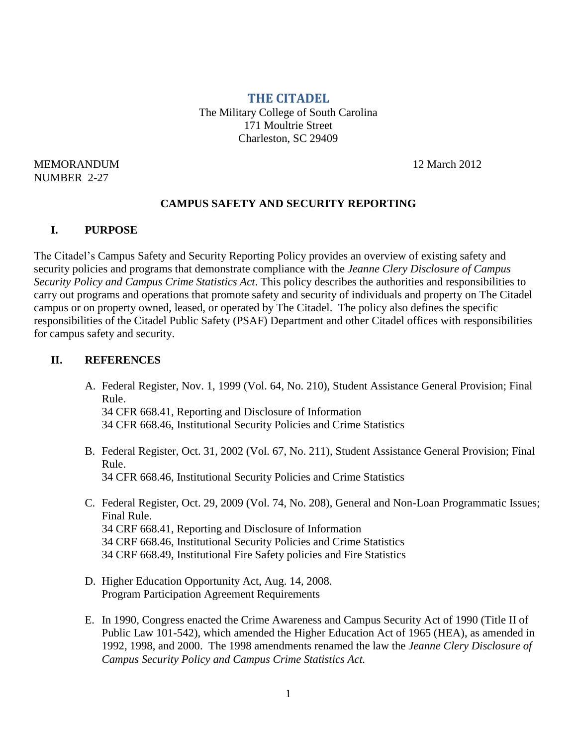## **THE CITADEL** The Military College of South Carolina 171 Moultrie Street Charleston, SC 29409

## MEMORANDUM 12 March 2012 NUMBER 2-27

# **CAMPUS SAFETY AND SECURITY REPORTING**

## **I. PURPOSE**

The Citadel's Campus Safety and Security Reporting Policy provides an overview of existing safety and security policies and programs that demonstrate compliance with the *Jeanne Clery Disclosure of Campus Security Policy and Campus Crime Statistics Act*. This policy describes the authorities and responsibilities to carry out programs and operations that promote safety and security of individuals and property on The Citadel campus or on property owned, leased, or operated by The Citadel. The policy also defines the specific responsibilities of the Citadel Public Safety (PSAF) Department and other Citadel offices with responsibilities for campus safety and security.

## **II. REFERENCES**

- A. Federal Register, Nov. 1, 1999 (Vol. 64, No. 210), Student Assistance General Provision; Final Rule. 34 CFR 668.41, Reporting and Disclosure of Information 34 CFR 668.46, Institutional Security Policies and Crime Statistics
- B. Federal Register, Oct. 31, 2002 (Vol. 67, No. 211), Student Assistance General Provision; Final Rule. 34 CFR 668.46, Institutional Security Policies and Crime Statistics
- C. Federal Register, Oct. 29, 2009 (Vol. 74, No. 208), General and Non-Loan Programmatic Issues; Final Rule. 34 CRF 668.41, Reporting and Disclosure of Information 34 CRF 668.46, Institutional Security Policies and Crime Statistics 34 CRF 668.49, Institutional Fire Safety policies and Fire Statistics
- D. Higher Education Opportunity Act, Aug. 14, 2008. Program Participation Agreement Requirements
- E. In 1990, Congress enacted the Crime Awareness and Campus Security Act of 1990 (Title II of Public Law 101-542), which amended the Higher Education Act of 1965 (HEA), as amended in 1992, 1998, and 2000. The 1998 amendments renamed the law the *Jeanne Clery Disclosure of Campus Security Policy and Campus Crime Statistics Act.*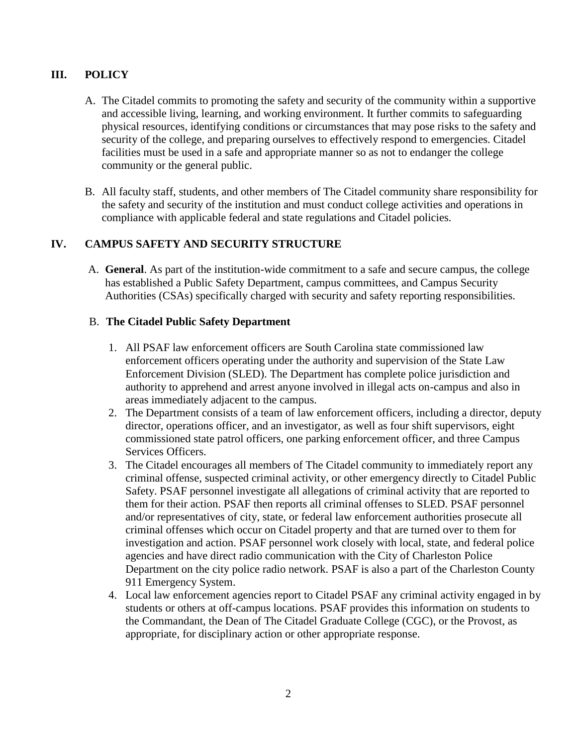# **III. POLICY**

- A. The Citadel commits to promoting the safety and security of the community within a supportive and accessible living, learning, and working environment. It further commits to safeguarding physical resources, identifying conditions or circumstances that may pose risks to the safety and security of the college, and preparing ourselves to effectively respond to emergencies. Citadel facilities must be used in a safe and appropriate manner so as not to endanger the college community or the general public.
- B. All faculty staff, students, and other members of The Citadel community share responsibility for the safety and security of the institution and must conduct college activities and operations in compliance with applicable federal and state regulations and Citadel policies.

# **IV. CAMPUS SAFETY AND SECURITY STRUCTURE**

A. **General**. As part of the institution-wide commitment to a safe and secure campus, the college has established a Public Safety Department, campus committees, and Campus Security Authorities (CSAs) specifically charged with security and safety reporting responsibilities.

## B. **The Citadel Public Safety Department**

- 1. All PSAF law enforcement officers are South Carolina state commissioned law enforcement officers operating under the authority and supervision of the State Law Enforcement Division (SLED). The Department has complete police jurisdiction and authority to apprehend and arrest anyone involved in illegal acts on-campus and also in areas immediately adjacent to the campus.
- 2. The Department consists of a team of law enforcement officers, including a director, deputy director, operations officer, and an investigator, as well as four shift supervisors, eight commissioned state patrol officers, one parking enforcement officer, and three Campus Services Officers.
- 3. The Citadel encourages all members of The Citadel community to immediately report any criminal offense, suspected criminal activity, or other emergency directly to Citadel Public Safety. PSAF personnel investigate all allegations of criminal activity that are reported to them for their action. PSAF then reports all criminal offenses to SLED. PSAF personnel and/or representatives of city, state, or federal law enforcement authorities prosecute all criminal offenses which occur on Citadel property and that are turned over to them for investigation and action. PSAF personnel work closely with local, state, and federal police agencies and have direct radio communication with the City of Charleston Police Department on the city police radio network. PSAF is also a part of the Charleston County 911 Emergency System.
- 4. Local law enforcement agencies report to Citadel PSAF any criminal activity engaged in by students or others at off-campus locations. PSAF provides this information on students to the Commandant, the Dean of The Citadel Graduate College (CGC), or the Provost, as appropriate, for disciplinary action or other appropriate response.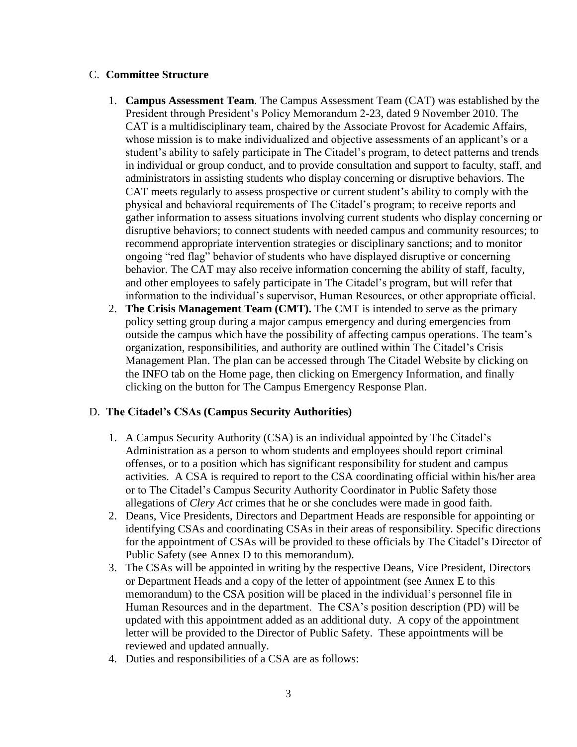## C. **Committee Structure**

- 1. **Campus Assessment Team**. The Campus Assessment Team (CAT) was established by the President through President's Policy Memorandum 2-23, dated 9 November 2010. The CAT is a multidisciplinary team, chaired by the Associate Provost for Academic Affairs, whose mission is to make individualized and objective assessments of an applicant's or a student's ability to safely participate in The Citadel's program, to detect patterns and trends in individual or group conduct, and to provide consultation and support to faculty, staff, and administrators in assisting students who display concerning or disruptive behaviors. The CAT meets regularly to assess prospective or current student's ability to comply with the physical and behavioral requirements of The Citadel's program; to receive reports and gather information to assess situations involving current students who display concerning or disruptive behaviors; to connect students with needed campus and community resources; to recommend appropriate intervention strategies or disciplinary sanctions; and to monitor ongoing "red flag" behavior of students who have displayed disruptive or concerning behavior. The CAT may also receive information concerning the ability of staff, faculty, and other employees to safely participate in The Citadel's program, but will refer that information to the individual's supervisor, Human Resources, or other appropriate official.
- 2. **The Crisis Management Team (CMT).** The CMT is intended to serve as the primary policy setting group during a major campus emergency and during emergencies from outside the campus which have the possibility of affecting campus operations. The team's organization, responsibilities, and authority are outlined within The Citadel's Crisis Management Plan. The plan can be accessed through The Citadel Website by clicking on the INFO tab on the Home page, then clicking on Emergency Information, and finally clicking on the button for The Campus Emergency Response Plan.

# D. **The Citadel's CSAs (Campus Security Authorities)**

- 1. A Campus Security Authority (CSA) is an individual appointed by The Citadel's Administration as a person to whom students and employees should report criminal offenses, or to a position which has significant responsibility for student and campus activities. A CSA is required to report to the CSA coordinating official within his/her area or to The Citadel's Campus Security Authority Coordinator in Public Safety those allegations of *Clery Act* crimes that he or she concludes were made in good faith.
- 2. Deans, Vice Presidents, Directors and Department Heads are responsible for appointing or identifying CSAs and coordinating CSAs in their areas of responsibility. Specific directions for the appointment of CSAs will be provided to these officials by The Citadel's Director of Public Safety (see Annex D to this memorandum).
- 3. The CSAs will be appointed in writing by the respective Deans, Vice President, Directors or Department Heads and a copy of the letter of appointment (see Annex E to this memorandum) to the CSA position will be placed in the individual's personnel file in Human Resources and in the department. The CSA's position description (PD) will be updated with this appointment added as an additional duty. A copy of the appointment letter will be provided to the Director of Public Safety. These appointments will be reviewed and updated annually.
- 4. Duties and responsibilities of a CSA are as follows: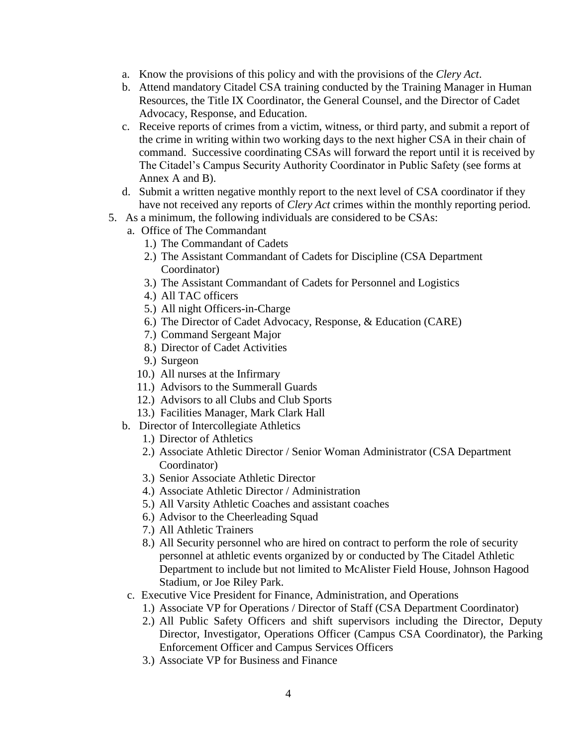- a. Know the provisions of this policy and with the provisions of the *Clery Act*.
- b. Attend mandatory Citadel CSA training conducted by the Training Manager in Human Resources, the Title IX Coordinator, the General Counsel, and the Director of Cadet Advocacy, Response, and Education.
- c. Receive reports of crimes from a victim, witness, or third party, and submit a report of the crime in writing within two working days to the next higher CSA in their chain of command. Successive coordinating CSAs will forward the report until it is received by The Citadel's Campus Security Authority Coordinator in Public Safety (see forms at Annex A and B).
- d. Submit a written negative monthly report to the next level of CSA coordinator if they have not received any reports of *Clery Act* crimes within the monthly reporting period.
- 5. As a minimum, the following individuals are considered to be CSAs:
	- a. Office of The Commandant
		- 1.) The Commandant of Cadets
		- 2.) The Assistant Commandant of Cadets for Discipline (CSA Department Coordinator)
		- 3.) The Assistant Commandant of Cadets for Personnel and Logistics
		- 4.) All TAC officers
		- 5.) All night Officers-in-Charge
		- 6.) The Director of Cadet Advocacy, Response, & Education (CARE)
		- 7.) Command Sergeant Major
		- 8.) Director of Cadet Activities
		- 9.) Surgeon
		- 10.) All nurses at the Infirmary
		- 11.) Advisors to the Summerall Guards
		- 12.) Advisors to all Clubs and Club Sports
		- 13.) Facilities Manager, Mark Clark Hall
	- b. Director of Intercollegiate Athletics
		- 1.) Director of Athletics
		- 2.) Associate Athletic Director / Senior Woman Administrator (CSA Department Coordinator)
		- 3.) Senior Associate Athletic Director
		- 4.) Associate Athletic Director / Administration
		- 5.) All Varsity Athletic Coaches and assistant coaches
		- 6.) Advisor to the Cheerleading Squad
		- 7.) All Athletic Trainers
		- 8.) All Security personnel who are hired on contract to perform the role of security personnel at athletic events organized by or conducted by The Citadel Athletic Department to include but not limited to McAlister Field House, Johnson Hagood Stadium, or Joe Riley Park.
	- c. Executive Vice President for Finance, Administration, and Operations
		- 1.) Associate VP for Operations / Director of Staff (CSA Department Coordinator)
		- 2.) All Public Safety Officers and shift supervisors including the Director, Deputy Director, Investigator, Operations Officer (Campus CSA Coordinator), the Parking Enforcement Officer and Campus Services Officers
		- 3.) Associate VP for Business and Finance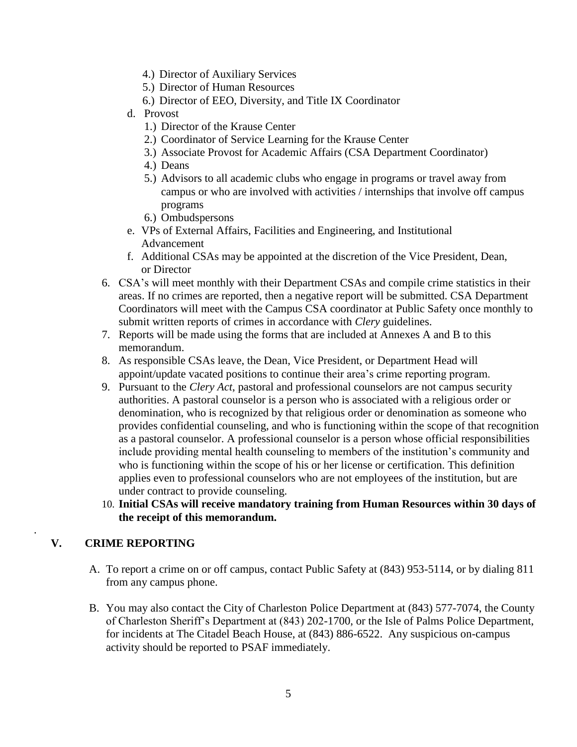- 4.) Director of Auxiliary Services
- 5.) Director of Human Resources
- 6.) Director of EEO, Diversity, and Title IX Coordinator
- d. Provost
	- 1.) Director of the Krause Center
	- 2.) Coordinator of Service Learning for the Krause Center
	- 3.) Associate Provost for Academic Affairs (CSA Department Coordinator)
	- 4.) Deans
	- 5.) Advisors to all academic clubs who engage in programs or travel away from campus or who are involved with activities / internships that involve off campus programs
	- 6.) Ombudspersons
- e. VPs of External Affairs, Facilities and Engineering, and Institutional Advancement
- f. Additional CSAs may be appointed at the discretion of the Vice President, Dean, or Director
- 6. CSA's will meet monthly with their Department CSAs and compile crime statistics in their areas. If no crimes are reported, then a negative report will be submitted. CSA Department Coordinators will meet with the Campus CSA coordinator at Public Safety once monthly to submit written reports of crimes in accordance with *Clery* guidelines.
- 7. Reports will be made using the forms that are included at Annexes A and B to this memorandum.
- 8. As responsible CSAs leave, the Dean, Vice President, or Department Head will appoint/update vacated positions to continue their area's crime reporting program.
- 9. Pursuant to the *Clery Act*, pastoral and professional counselors are not campus security authorities. A pastoral counselor is a person who is associated with a religious order or denomination, who is recognized by that religious order or denomination as someone who provides confidential counseling, and who is functioning within the scope of that recognition as a pastoral counselor. A professional counselor is a person whose official responsibilities include providing mental health counseling to members of the institution's community and who is functioning within the scope of his or her license or certification. This definition applies even to professional counselors who are not employees of the institution, but are under contract to provide counseling.
- 10. **Initial CSAs will receive mandatory training from Human Resources within 30 days of the receipt of this memorandum.**

# **V. CRIME REPORTING**

.

- A. To report a crime on or off campus, contact Public Safety at (843) 953-5114, or by dialing 811 from any campus phone.
- B. You may also contact the City of Charleston Police Department at (843) 577-7074, the County of Charleston Sheriff's Department at (843) 202-1700, or the Isle of Palms Police Department, for incidents at The Citadel Beach House, at (843) 886-6522. Any suspicious on-campus activity should be reported to PSAF immediately.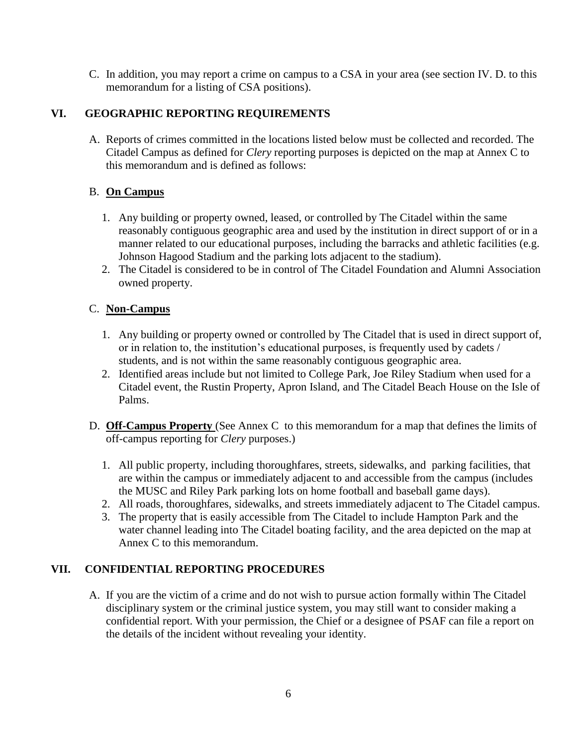C. In addition, you may report a crime on campus to a CSA in your area (see section IV. D. to this memorandum for a listing of CSA positions).

# **VI. GEOGRAPHIC REPORTING REQUIREMENTS**

A. Reports of crimes committed in the locations listed below must be collected and recorded. The Citadel Campus as defined for *Clery* reporting purposes is depicted on the map at Annex C to this memorandum and is defined as follows:

# B. **On Campus**

- 1. Any building or property owned, leased, or controlled by The Citadel within the same reasonably contiguous geographic area and used by the institution in direct support of or in a manner related to our educational purposes, including the barracks and athletic facilities (e.g. Johnson Hagood Stadium and the parking lots adjacent to the stadium).
- 2. The Citadel is considered to be in control of The Citadel Foundation and Alumni Association owned property.

# C. **Non-Campus**

- 1. Any building or property owned or controlled by The Citadel that is used in direct support of, or in relation to, the institution's educational purposes, is frequently used by cadets / students, and is not within the same reasonably contiguous geographic area.
- 2. Identified areas include but not limited to College Park, Joe Riley Stadium when used for a Citadel event, the Rustin Property, Apron Island, and The Citadel Beach House on the Isle of Palms.
- D. **Off-Campus Property** (See Annex C to this memorandum for a map that defines the limits of off-campus reporting for *Clery* purposes.)
	- 1. All public property, including thoroughfares, streets, sidewalks, and parking facilities, that are within the campus or immediately adjacent to and accessible from the campus (includes the MUSC and Riley Park parking lots on home football and baseball game days).
	- 2. All roads, thoroughfares, sidewalks, and streets immediately adjacent to The Citadel campus.
	- 3. The property that is easily accessible from The Citadel to include Hampton Park and the water channel leading into The Citadel boating facility, and the area depicted on the map at Annex C to this memorandum.

# **VII. CONFIDENTIAL REPORTING PROCEDURES**

A. If you are the victim of a crime and do not wish to pursue action formally within The Citadel disciplinary system or the criminal justice system, you may still want to consider making a confidential report. With your permission, the Chief or a designee of PSAF can file a report on the details of the incident without revealing your identity.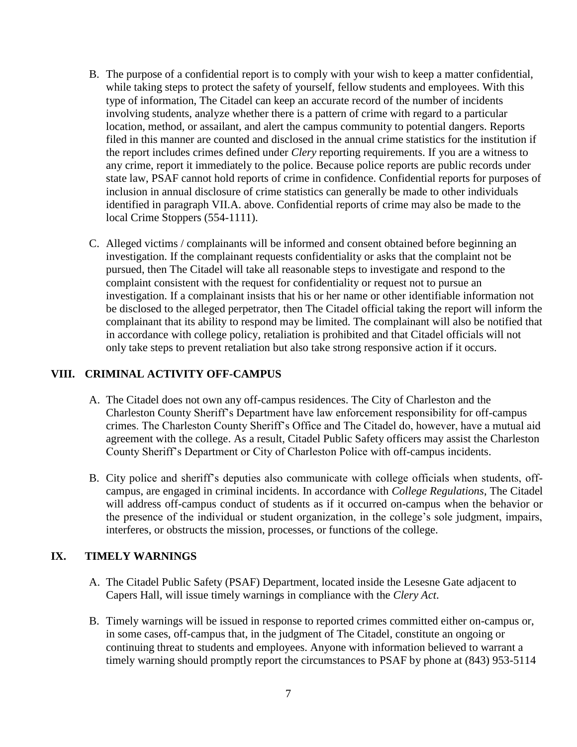- B. The purpose of a confidential report is to comply with your wish to keep a matter confidential, while taking steps to protect the safety of yourself, fellow students and employees. With this type of information, The Citadel can keep an accurate record of the number of incidents involving students, analyze whether there is a pattern of crime with regard to a particular location, method, or assailant, and alert the campus community to potential dangers. Reports filed in this manner are counted and disclosed in the annual crime statistics for the institution if the report includes crimes defined under *Clery* reporting requirements. If you are a witness to any crime, report it immediately to the police. Because police reports are public records under state law, PSAF cannot hold reports of crime in confidence. Confidential reports for purposes of inclusion in annual disclosure of crime statistics can generally be made to other individuals identified in paragraph VII.A. above. Confidential reports of crime may also be made to the local Crime Stoppers (554-1111).
- C. Alleged victims / complainants will be informed and consent obtained before beginning an investigation. If the complainant requests confidentiality or asks that the complaint not be pursued, then The Citadel will take all reasonable steps to investigate and respond to the complaint consistent with the request for confidentiality or request not to pursue an investigation. If a complainant insists that his or her name or other identifiable information not be disclosed to the alleged perpetrator, then The Citadel official taking the report will inform the complainant that its ability to respond may be limited. The complainant will also be notified that in accordance with college policy, retaliation is prohibited and that Citadel officials will not only take steps to prevent retaliation but also take strong responsive action if it occurs.

## **VIII. CRIMINAL ACTIVITY OFF-CAMPUS**

- A. The Citadel does not own any off-campus residences. The City of Charleston and the Charleston County Sheriff's Department have law enforcement responsibility for off-campus crimes. The Charleston County Sheriff's Office and The Citadel do, however, have a mutual aid agreement with the college. As a result, Citadel Public Safety officers may assist the Charleston County Sheriff's Department or City of Charleston Police with off-campus incidents.
- B. City police and sheriff's deputies also communicate with college officials when students, offcampus, are engaged in criminal incidents. In accordance with *College Regulations*, The Citadel will address off-campus conduct of students as if it occurred on-campus when the behavior or the presence of the individual or student organization, in the college's sole judgment, impairs, interferes, or obstructs the mission, processes, or functions of the college.

## **IX. TIMELY WARNINGS**

- A. The Citadel Public Safety (PSAF) Department, located inside the Lesesne Gate adjacent to Capers Hall, will issue timely warnings in compliance with the *Clery Act*.
- B. Timely warnings will be issued in response to reported crimes committed either on-campus or, in some cases, off-campus that, in the judgment of The Citadel, constitute an ongoing or continuing threat to students and employees. Anyone with information believed to warrant a timely warning should promptly report the circumstances to PSAF by phone at (843) 953-5114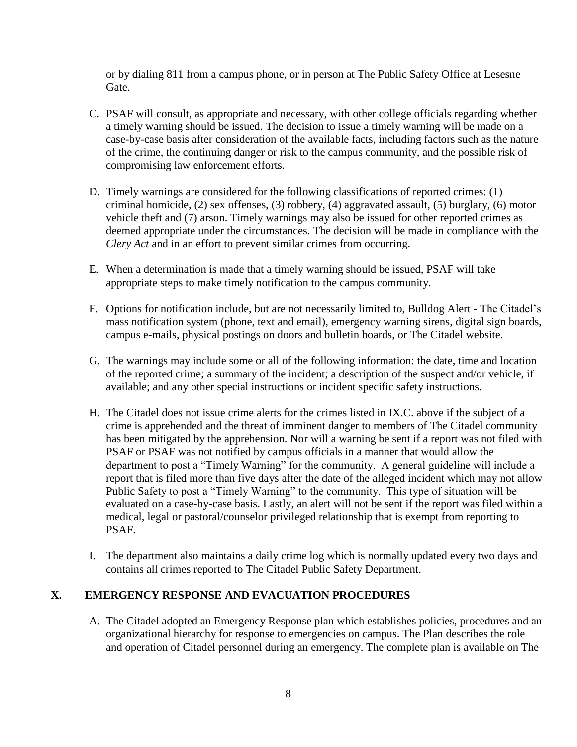or by dialing 811 from a campus phone, or in person at The Public Safety Office at Lesesne Gate.

- C. PSAF will consult, as appropriate and necessary, with other college officials regarding whether a timely warning should be issued. The decision to issue a timely warning will be made on a case-by-case basis after consideration of the available facts, including factors such as the nature of the crime, the continuing danger or risk to the campus community, and the possible risk of compromising law enforcement efforts.
- D. Timely warnings are considered for the following classifications of reported crimes: (1) criminal homicide, (2) sex offenses, (3) robbery, (4) aggravated assault, (5) burglary, (6) motor vehicle theft and (7) arson. Timely warnings may also be issued for other reported crimes as deemed appropriate under the circumstances. The decision will be made in compliance with the *Clery Act* and in an effort to prevent similar crimes from occurring.
- E. When a determination is made that a timely warning should be issued, PSAF will take appropriate steps to make timely notification to the campus community.
- F. Options for notification include, but are not necessarily limited to, Bulldog Alert The Citadel's mass notification system (phone, text and email), emergency warning sirens, digital sign boards, campus e-mails, physical postings on doors and bulletin boards, or The Citadel website.
- G. The warnings may include some or all of the following information: the date, time and location of the reported crime; a summary of the incident; a description of the suspect and/or vehicle, if available; and any other special instructions or incident specific safety instructions.
- H. The Citadel does not issue crime alerts for the crimes listed in IX.C. above if the subject of a crime is apprehended and the threat of imminent danger to members of The Citadel community has been mitigated by the apprehension. Nor will a warning be sent if a report was not filed with PSAF or PSAF was not notified by campus officials in a manner that would allow the department to post a "Timely Warning" for the community. A general guideline will include a report that is filed more than five days after the date of the alleged incident which may not allow Public Safety to post a "Timely Warning" to the community. This type of situation will be evaluated on a case-by-case basis. Lastly, an alert will not be sent if the report was filed within a medical, legal or pastoral/counselor privileged relationship that is exempt from reporting to PSAF.
- I. The department also maintains a daily crime log which is normally updated every two days and contains all crimes reported to The Citadel Public Safety Department.

# **X. EMERGENCY RESPONSE AND EVACUATION PROCEDURES**

A. The Citadel adopted an Emergency Response plan which establishes policies, procedures and an organizational hierarchy for response to emergencies on campus. The Plan describes the role and operation of Citadel personnel during an emergency. The complete plan is available on The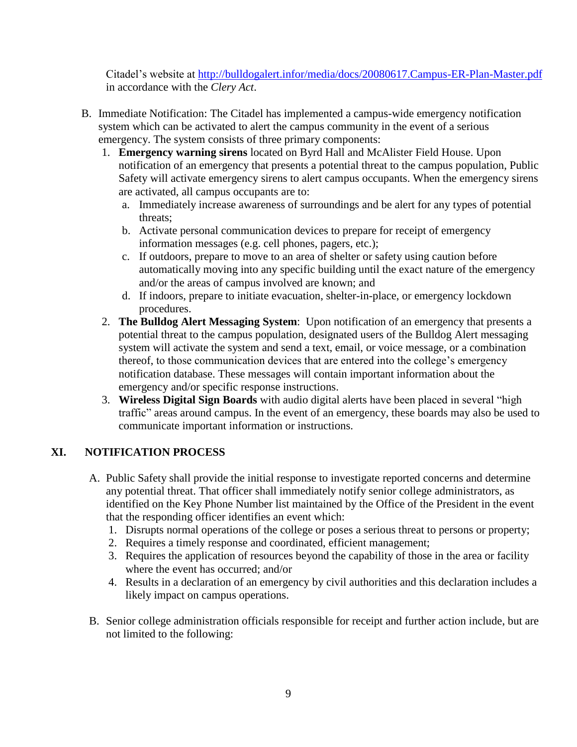Citadel's website at<http://bulldogalert.infor/media/docs/20080617.Campus-ER-Plan-Master.pdf> in accordance with the *Clery Act*.

- B. Immediate Notification: The Citadel has implemented a campus-wide emergency notification system which can be activated to alert the campus community in the event of a serious emergency. The system consists of three primary components:
	- 1. **Emergency warning sirens** located on Byrd Hall and McAlister Field House. Upon notification of an emergency that presents a potential threat to the campus population, Public Safety will activate emergency sirens to alert campus occupants. When the emergency sirens are activated, all campus occupants are to:
		- a. Immediately increase awareness of surroundings and be alert for any types of potential threats;
		- b. Activate personal communication devices to prepare for receipt of emergency information messages (e.g. cell phones, pagers, etc.);
		- c. If outdoors, prepare to move to an area of shelter or safety using caution before automatically moving into any specific building until the exact nature of the emergency and/or the areas of campus involved are known; and
		- d. If indoors, prepare to initiate evacuation, shelter-in-place, or emergency lockdown procedures.
	- 2. **The Bulldog Alert Messaging System**: Upon notification of an emergency that presents a potential threat to the campus population, designated users of the Bulldog Alert messaging system will activate the system and send a text, email, or voice message, or a combination thereof, to those communication devices that are entered into the college's emergency notification database. These messages will contain important information about the emergency and/or specific response instructions.
	- 3. **Wireless Digital Sign Boards** with audio digital alerts have been placed in several "high traffic" areas around campus. In the event of an emergency, these boards may also be used to communicate important information or instructions.

# **XI. NOTIFICATION PROCESS**

- A. Public Safety shall provide the initial response to investigate reported concerns and determine any potential threat. That officer shall immediately notify senior college administrators, as identified on the Key Phone Number list maintained by the Office of the President in the event that the responding officer identifies an event which:
	- 1. Disrupts normal operations of the college or poses a serious threat to persons or property;
	- 2. Requires a timely response and coordinated, efficient management;
	- 3. Requires the application of resources beyond the capability of those in the area or facility where the event has occurred; and/or
	- 4. Results in a declaration of an emergency by civil authorities and this declaration includes a likely impact on campus operations.
- B. Senior college administration officials responsible for receipt and further action include, but are not limited to the following: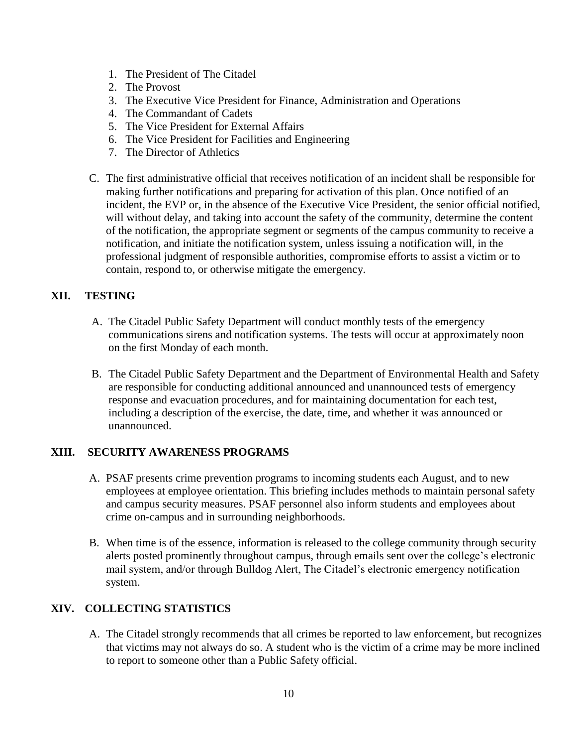- 1. The President of The Citadel
- 2. The Provost
- 3. The Executive Vice President for Finance, Administration and Operations
- 4. The Commandant of Cadets
- 5. The Vice President for External Affairs
- 6. The Vice President for Facilities and Engineering
- 7. The Director of Athletics
- C. The first administrative official that receives notification of an incident shall be responsible for making further notifications and preparing for activation of this plan. Once notified of an incident, the EVP or, in the absence of the Executive Vice President, the senior official notified, will without delay, and taking into account the safety of the community, determine the content of the notification, the appropriate segment or segments of the campus community to receive a notification, and initiate the notification system, unless issuing a notification will, in the professional judgment of responsible authorities, compromise efforts to assist a victim or to contain, respond to, or otherwise mitigate the emergency.

# **XII. TESTING**

- A. The Citadel Public Safety Department will conduct monthly tests of the emergency communications sirens and notification systems. The tests will occur at approximately noon on the first Monday of each month.
- B. The Citadel Public Safety Department and the Department of Environmental Health and Safety are responsible for conducting additional announced and unannounced tests of emergency response and evacuation procedures, and for maintaining documentation for each test, including a description of the exercise, the date, time, and whether it was announced or unannounced.

# **XIII. SECURITY AWARENESS PROGRAMS**

- A. PSAF presents crime prevention programs to incoming students each August, and to new employees at employee orientation. This briefing includes methods to maintain personal safety and campus security measures. PSAF personnel also inform students and employees about crime on-campus and in surrounding neighborhoods.
- B. When time is of the essence, information is released to the college community through security alerts posted prominently throughout campus, through emails sent over the college's electronic mail system, and/or through Bulldog Alert, The Citadel's electronic emergency notification system.

# **XIV. COLLECTING STATISTICS**

A. The Citadel strongly recommends that all crimes be reported to law enforcement, but recognizes that victims may not always do so. A student who is the victim of a crime may be more inclined to report to someone other than a Public Safety official.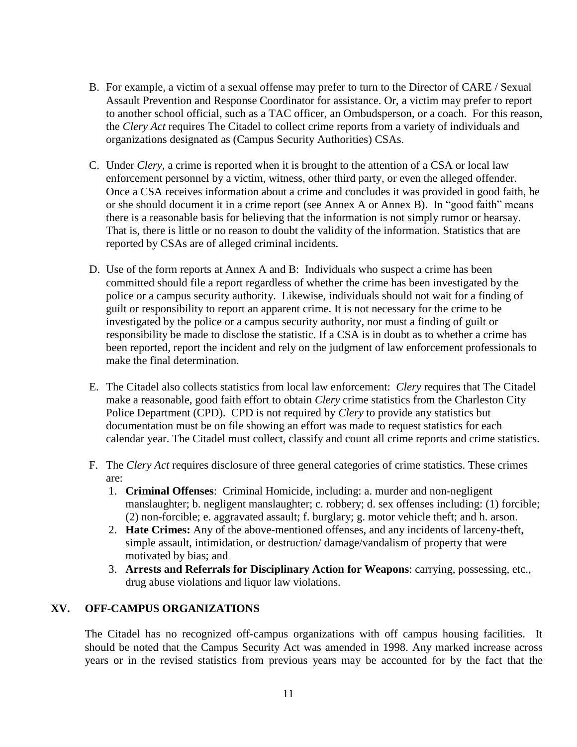- B. For example, a victim of a sexual offense may prefer to turn to the Director of CARE / Sexual Assault Prevention and Response Coordinator for assistance. Or, a victim may prefer to report to another school official, such as a TAC officer, an Ombudsperson, or a coach. For this reason, the *Clery Act* requires The Citadel to collect crime reports from a variety of individuals and organizations designated as (Campus Security Authorities) CSAs.
- C. Under *Clery*, a crime is reported when it is brought to the attention of a CSA or local law enforcement personnel by a victim, witness, other third party, or even the alleged offender. Once a CSA receives information about a crime and concludes it was provided in good faith, he or she should document it in a crime report (see Annex A or Annex B). In "good faith" means there is a reasonable basis for believing that the information is not simply rumor or hearsay. That is, there is little or no reason to doubt the validity of the information. Statistics that are reported by CSAs are of alleged criminal incidents.
- D. Use of the form reports at Annex A and B: Individuals who suspect a crime has been committed should file a report regardless of whether the crime has been investigated by the police or a campus security authority. Likewise, individuals should not wait for a finding of guilt or responsibility to report an apparent crime. It is not necessary for the crime to be investigated by the police or a campus security authority, nor must a finding of guilt or responsibility be made to disclose the statistic. If a CSA is in doubt as to whether a crime has been reported, report the incident and rely on the judgment of law enforcement professionals to make the final determination.
- E. The Citadel also collects statistics from local law enforcement:*Clery* requires that The Citadel make a reasonable, good faith effort to obtain *Clery* crime statistics from the Charleston City Police Department (CPD). CPD is not required by *Clery* to provide any statistics but documentation must be on file showing an effort was made to request statistics for each calendar year. The Citadel must collect, classify and count all crime reports and crime statistics.
- F. The *Clery Act* requires disclosure of three general categories of crime statistics. These crimes are:
	- 1. **Criminal Offenses**: Criminal Homicide, including: a. murder and non-negligent manslaughter; b. negligent manslaughter; c. robbery; d. sex offenses including: (1) forcible; (2) non-forcible; e. aggravated assault; f. burglary; g. motor vehicle theft; and h. arson.
	- 2. **Hate Crimes:** Any of the above-mentioned offenses, and any incidents of larceny-theft, simple assault, intimidation, or destruction/ damage/vandalism of property that were motivated by bias; and
	- 3. **Arrests and Referrals for Disciplinary Action for Weapons**: carrying, possessing, etc., drug abuse violations and liquor law violations.

## **XV. OFF-CAMPUS ORGANIZATIONS**

The Citadel has no recognized off-campus organizations with off campus housing facilities. It should be noted that the Campus Security Act was amended in 1998. Any marked increase across years or in the revised statistics from previous years may be accounted for by the fact that the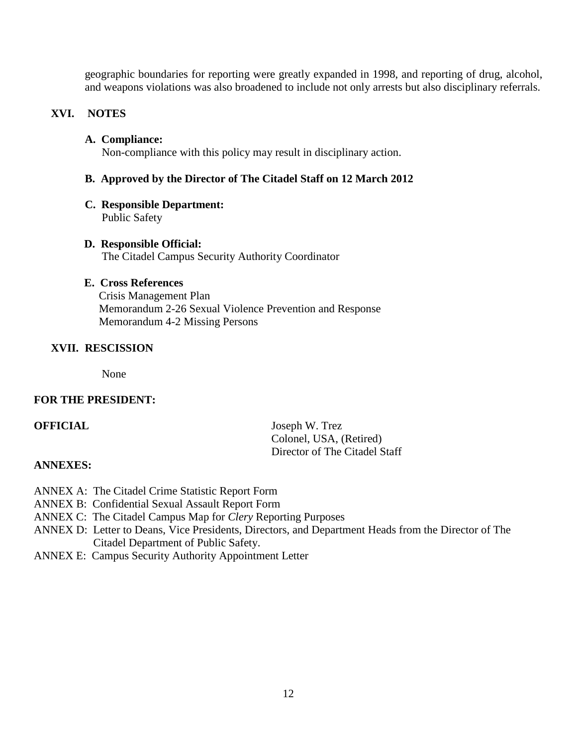geographic boundaries for reporting were greatly expanded in 1998, and reporting of drug, alcohol, and weapons violations was also broadened to include not only arrests but also disciplinary referrals.

## **XVI. NOTES**

## **A. Compliance:** Non-compliance with this policy may result in disciplinary action.

## **B. Approved by the Director of The Citadel Staff on 12 March 2012**

- **C. Responsible Department:**  Public Safety
- **D. Responsible Official:** The Citadel Campus Security Authority Coordinator

## **E. Cross References**

Crisis Management Plan Memorandum 2-26 Sexual Violence Prevention and Response Memorandum 4-2 Missing Persons

## **XVII. RESCISSION**

None

## **FOR THE PRESIDENT:**

**OFFICIAL** Joseph W. Trez Colonel, USA, (Retired) Director of The Citadel Staff

## **ANNEXES:**

- ANNEX A: The Citadel Crime Statistic Report Form
- ANNEX B: Confidential Sexual Assault Report Form
- ANNEX C: The Citadel Campus Map for *Clery* Reporting Purposes
- ANNEX D: Letter to Deans, Vice Presidents, Directors, and Department Heads from the Director of The Citadel Department of Public Safety.
- ANNEX E: Campus Security Authority Appointment Letter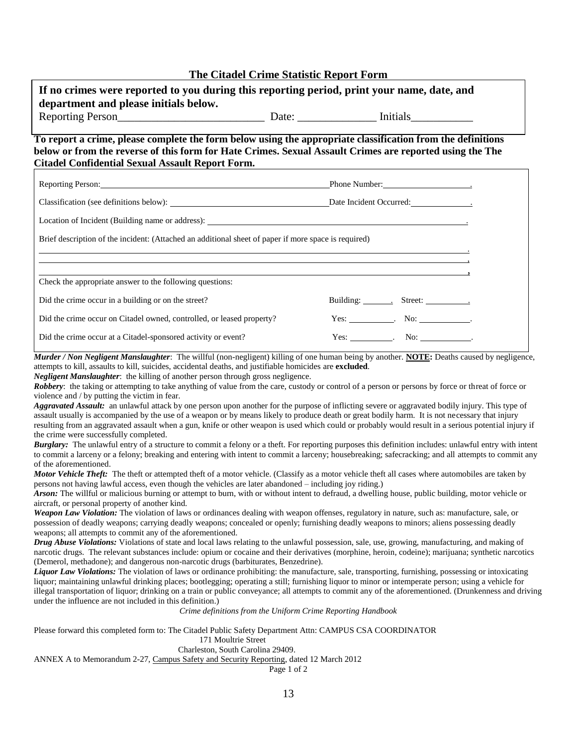#### **The Citadel Crime Statistic Report Form**

| If no crimes were reported to you during this reporting period, print your name, date, and<br>department and please initials below.<br>Reporting Person<br><u>Date: Mate: Mate: Mate: Mate: Mate: Mates Initials</u>                                                               |                                          |  |  |  |  |
|------------------------------------------------------------------------------------------------------------------------------------------------------------------------------------------------------------------------------------------------------------------------------------|------------------------------------------|--|--|--|--|
|                                                                                                                                                                                                                                                                                    |                                          |  |  |  |  |
| To report a crime, please complete the form below using the appropriate classification from the definitions<br>below or from the reverse of this form for Hate Crimes. Sexual Assault Crimes are reported using the The<br><b>Citadel Confidential Sexual Assault Report Form.</b> |                                          |  |  |  |  |
|                                                                                                                                                                                                                                                                                    |                                          |  |  |  |  |
|                                                                                                                                                                                                                                                                                    |                                          |  |  |  |  |
|                                                                                                                                                                                                                                                                                    |                                          |  |  |  |  |
| Brief description of the incident: (Attached an additional sheet of paper if more space is required)                                                                                                                                                                               |                                          |  |  |  |  |
|                                                                                                                                                                                                                                                                                    |                                          |  |  |  |  |
| Check the appropriate answer to the following questions:                                                                                                                                                                                                                           |                                          |  |  |  |  |
| Did the crime occur in a building or on the street?                                                                                                                                                                                                                                |                                          |  |  |  |  |
| Did the crime occur on Citadel owned, controlled, or leased property?                                                                                                                                                                                                              | Yes: $\qquad \qquad$ No: $\qquad \qquad$ |  |  |  |  |
| Did the crime occur at a Citadel-sponsored activity or event?                                                                                                                                                                                                                      | Yes: $\qquad \qquad$ No: $\qquad \qquad$ |  |  |  |  |

*Murder / Non Negligent Manslaughter*: The willful (non-negligent) killing of one human being by another. **NOTE:** Deaths caused by negligence, attempts to kill, assaults to kill, suicides, accidental deaths, and justifiable homicides are **excluded**.

*Negligent Manslaughter*: the killing of another person through gross negligence.

*Robbery*: the taking or attempting to take anything of value from the care, custody or control of a person or persons by force or threat of force or violence and / by putting the victim in fear.

*Aggravated Assault:* an unlawful attack by one person upon another for the purpose of inflicting severe or aggravated bodily injury. This type of assault usually is accompanied by the use of a weapon or by means likely to produce death or great bodily harm. It is not necessary that injury resulting from an aggravated assault when a gun, knife or other weapon is used which could or probably would result in a serious potential injury if the crime were successfully completed.

*Burglary:* The unlawful entry of a structure to commit a felony or a theft. For reporting purposes this definition includes: unlawful entry with intent to commit a larceny or a felony; breaking and entering with intent to commit a larceny; housebreaking; safecracking; and all attempts to commit any of the aforementioned.

*Motor Vehicle Theft:* The theft or attempted theft of a motor vehicle. (Classify as a motor vehicle theft all cases where automobiles are taken by persons not having lawful access, even though the vehicles are later abandoned – including joy riding.)

*Arson:* The willful or malicious burning or attempt to burn, with or without intent to defraud, a dwelling house, public building, motor vehicle or aircraft, or personal property of another kind.

*Weapon Law Violation:* The violation of laws or ordinances dealing with weapon offenses, regulatory in nature, such as: manufacture, sale, or possession of deadly weapons; carrying deadly weapons; concealed or openly; furnishing deadly weapons to minors; aliens possessing deadly weapons; all attempts to commit any of the aforementioned.

*Drug Abuse Violations:* Violations of state and local laws relating to the unlawful possession, sale, use, growing, manufacturing, and making of narcotic drugs. The relevant substances include: opium or cocaine and their derivatives (morphine, heroin, codeine); marijuana; synthetic narcotics (Demerol, methadone); and dangerous non-narcotic drugs (barbiturates, Benzedrine).

*Liquor Law Violations:* The violation of laws or ordinance prohibiting: the manufacture, sale, transporting, furnishing, possessing or intoxicating liquor; maintaining unlawful drinking places; bootlegging; operating a still; furnishing liquor to minor or intemperate person; using a vehicle for illegal transportation of liquor; drinking on a train or public conveyance; all attempts to commit any of the aforementioned. (Drunkenness and driving under the influence are not included in this definition.)

*Crime definitions from the Uniform Crime Reporting Handbook*

Please forward this completed form to: The Citadel Public Safety Department Attn: CAMPUS CSA COORDINATOR

171 Moultrie Street

Charleston, South Carolina 29409.

ANNEX A to Memorandum 2-27, Campus Safety and Security Reporting, dated 12 March 2012

Page 1 of 2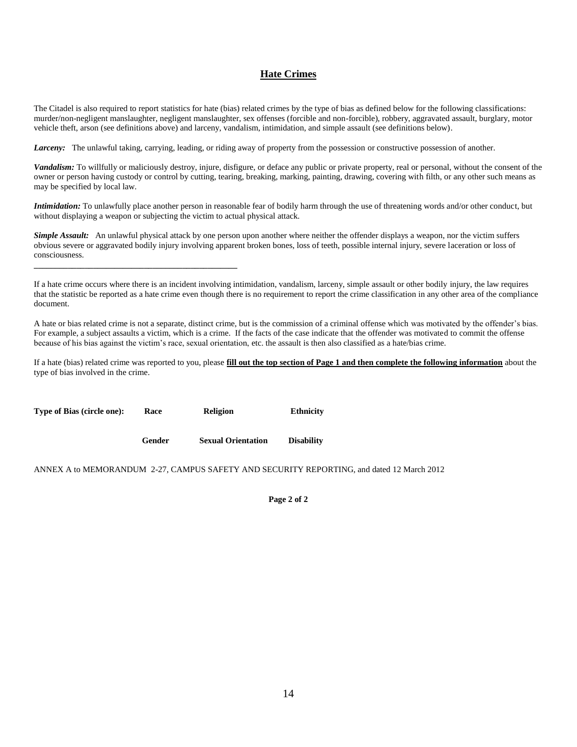#### **Hate Crimes**

The Citadel is also required to report statistics for hate (bias) related crimes by the type of bias as defined below for the following classifications: murder/non-negligent manslaughter, negligent manslaughter, sex offenses (forcible and non-forcible), robbery, aggravated assault, burglary, motor vehicle theft, arson (see definitions above) and larceny, vandalism, intimidation, and simple assault (see definitions below).

*Larceny:* The unlawful taking, carrying, leading, or riding away of property from the possession or constructive possession of another.

*Vandalism:* To willfully or maliciously destroy, injure, disfigure, or deface any public or private property, real or personal, without the consent of the owner or person having custody or control by cutting, tearing, breaking, marking, painting, drawing, covering with filth, or any other such means as may be specified by local law.

*Intimidation:* To unlawfully place another person in reasonable fear of bodily harm through the use of threatening words and/or other conduct, but without displaying a weapon or subjecting the victim to actual physical attack.

*Simple Assault:* An unlawful physical attack by one person upon another where neither the offender displays a weapon, nor the victim suffers obvious severe or aggravated bodily injury involving apparent broken bones, loss of teeth, possible internal injury, severe laceration or loss of consciousness.

A hate or bias related crime is not a separate, distinct crime, but is the commission of a criminal offense which was motivated by the offender's bias. For example, a subject assaults a victim, which is a crime. If the facts of the case indicate that the offender was motivated to commit the offense because of his bias against the victim's race, sexual orientation, etc. the assault is then also classified as a hate/bias crime.

If a hate (bias) related crime was reported to you, please **fill out the top section of Page 1 and then complete the following information** about the type of bias involved in the crime.

| Race | <b>Religion</b> | <b>Ethnicity</b>          |
|------|-----------------|---------------------------|
|      |                 | <b>Disability</b>         |
|      | Gender          | <b>Sexual Orientation</b> |

**\_\_\_\_\_\_\_\_\_\_\_\_\_\_\_\_\_\_\_\_\_\_\_\_\_\_\_\_\_\_\_\_\_\_\_\_\_\_\_\_\_\_\_\_\_\_\_\_**

ANNEX A to MEMORANDUM 2-27, CAMPUS SAFETY AND SECURITY REPORTING, and dated 12 March 2012

**Page 2 of 2**

If a hate crime occurs where there is an incident involving intimidation, vandalism, larceny, simple assault or other bodily injury, the law requires that the statistic be reported as a hate crime even though there is no requirement to report the crime classification in any other area of the compliance document.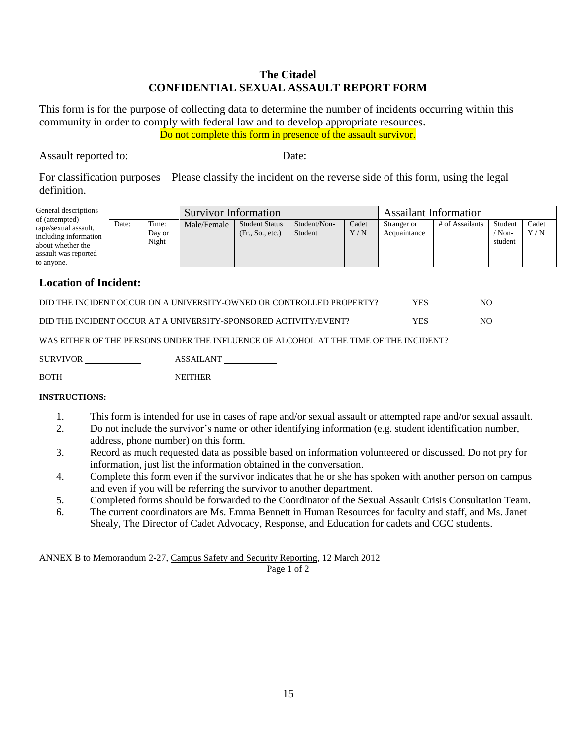# **The Citadel CONFIDENTIAL SEXUAL ASSAULT REPORT FORM**

This form is for the purpose of collecting data to determine the number of incidents occurring within this community in order to comply with federal law and to develop appropriate resources. Do not complete this form in presence of the assault survivor.

Assault reported to: Date:

For classification purposes – Please classify the incident on the reverse side of this form, using the legal definition.

| General descriptions<br>of (attempted)                                                                   |       |                          | <b>Survivor Information</b> |                                           |                         | Assailant Information |                             |                 |                            |              |
|----------------------------------------------------------------------------------------------------------|-------|--------------------------|-----------------------------|-------------------------------------------|-------------------------|-----------------------|-----------------------------|-----------------|----------------------------|--------------|
| rape/sexual assault,<br>including information<br>about whether the<br>assault was reported<br>to anyone. | Date: | Time:<br>Day or<br>Night | Male/Female                 | <b>Student Status</b><br>(Fr., So., etc.) | Student/Non-<br>Student | Cadet<br>Y/N          | Stranger or<br>Acquaintance | # of Assailants | Student<br>Non-<br>student | Cadet<br>Y/N |

# **Location of Incident:**

| DID THE INCIDENT OCCUR ON A UNIVERSITY-OWNED OR CONTROLLED PROPERTY? | YES. | NΟ |
|----------------------------------------------------------------------|------|----|
| DID THE INCIDENT OCCUR AT A UNIVERSITY-SPONSORED ACTIVITY/EVENT?     | YES  | NΟ |

WAS EITHER OF THE PERSONS UNDER THE INFLUENCE OF ALCOHOL AT THE TIME OF THE INCIDENT?

SURVIVOR ASSAILANT

BOTH NEITHER

## **INSTRUCTIONS:**

- 1. This form is intended for use in cases of rape and/or sexual assault or attempted rape and/or sexual assault.
- 2. Do not include the survivor's name or other identifying information (e.g. student identification number, address, phone number) on this form.
- 3. Record as much requested data as possible based on information volunteered or discussed. Do not pry for information, just list the information obtained in the conversation.
- 4. Complete this form even if the survivor indicates that he or she has spoken with another person on campus and even if you will be referring the survivor to another department.
- 5. Completed forms should be forwarded to the Coordinator of the Sexual Assault Crisis Consultation Team.
- 6. The current coordinators are Ms. Emma Bennett in Human Resources for faculty and staff, and Ms. Janet Shealy, The Director of Cadet Advocacy, Response, and Education for cadets and CGC students.

ANNEX B to Memorandum 2-27, Campus Safety and Security Reporting, 12 March 2012

Page 1 of 2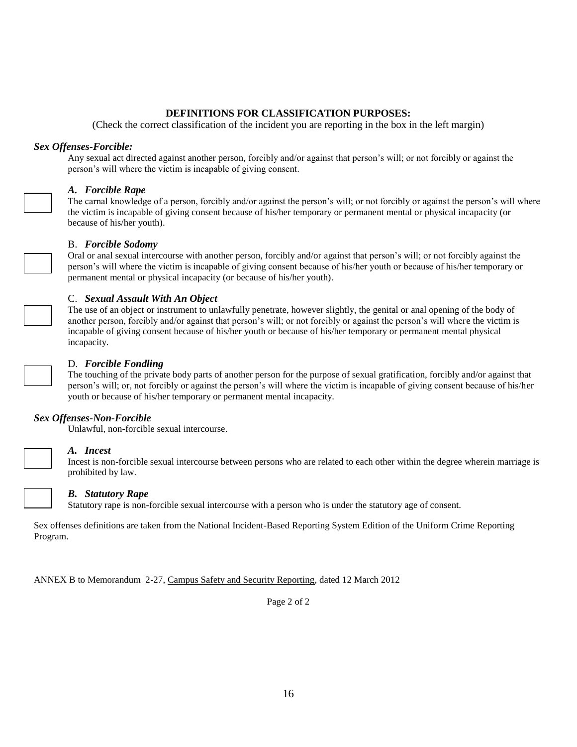## **DEFINITIONS FOR CLASSIFICATION PURPOSES:**

(Check the correct classification of the incident you are reporting in the box in the left margin)

#### *Sex Offenses-Forcible:*

Any sexual act directed against another person, forcibly and/or against that person's will; or not forcibly or against the person's will where the victim is incapable of giving consent.

## *A. Forcible Rape*

The carnal knowledge of a person, forcibly and/or against the person's will; or not forcibly or against the person's will where the victim is incapable of giving consent because of his/her temporary or permanent mental or physical incapacity (or because of his/her youth).

#### B. *Forcible Sodomy*

Oral or anal sexual intercourse with another person, forcibly and/or against that person's will; or not forcibly against the person's will where the victim is incapable of giving consent because of his/her youth or because of his/her temporary or permanent mental or physical incapacity (or because of his/her youth).

#### C. *Sexual Assault With An Object*

The use of an object or instrument to unlawfully penetrate, however slightly, the genital or anal opening of the body of another person, forcibly and/or against that person's will; or not forcibly or against the person's will where the victim is incapable of giving consent because of his/her youth or because of his/her temporary or permanent mental physical incapacity.

#### D. *Forcible Fondling*

The touching of the private body parts of another person for the purpose of sexual gratification, forcibly and/or against that person's will; or, not forcibly or against the person's will where the victim is incapable of giving consent because of his/her youth or because of his/her temporary or permanent mental incapacity.

## *Sex Offenses-Non-Forcible*

Unlawful, non-forcible sexual intercourse.



#### *A. Incest*

Incest is non-forcible sexual intercourse between persons who are related to each other within the degree wherein marriage is prohibited by law.



#### *B. Statutory Rape*

Statutory rape is non-forcible sexual intercourse with a person who is under the statutory age of consent.

Sex offenses definitions are taken from the National Incident-Based Reporting System Edition of the Uniform Crime Reporting Program.

ANNEX B to Memorandum 2-27, Campus Safety and Security Reporting, dated 12 March 2012

Page 2 of 2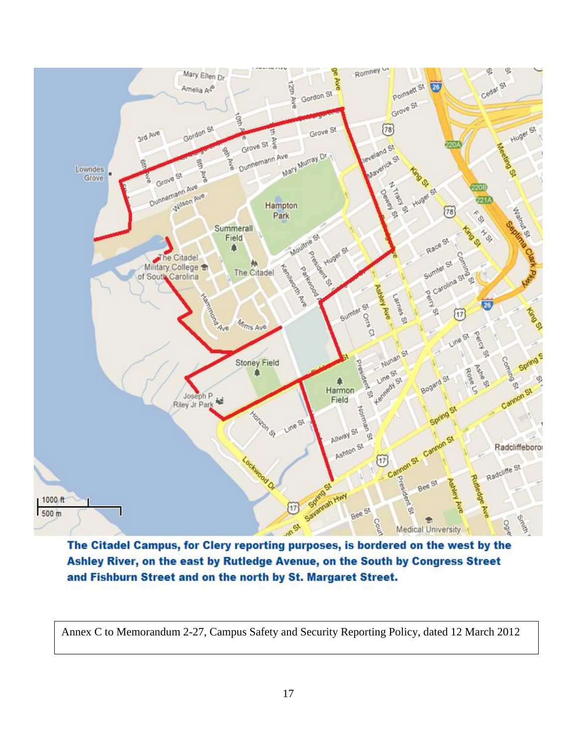

The Citadel Campus, for Clery reporting purposes, is bordered on the west by the Ashley River, on the east by Rutledge Avenue, on the South by Congress Street and Fishburn Street and on the north by St. Margaret Street.

Annex C to Memorandum 2-27, Campus Safety and Security Reporting Policy, dated 12 March 2012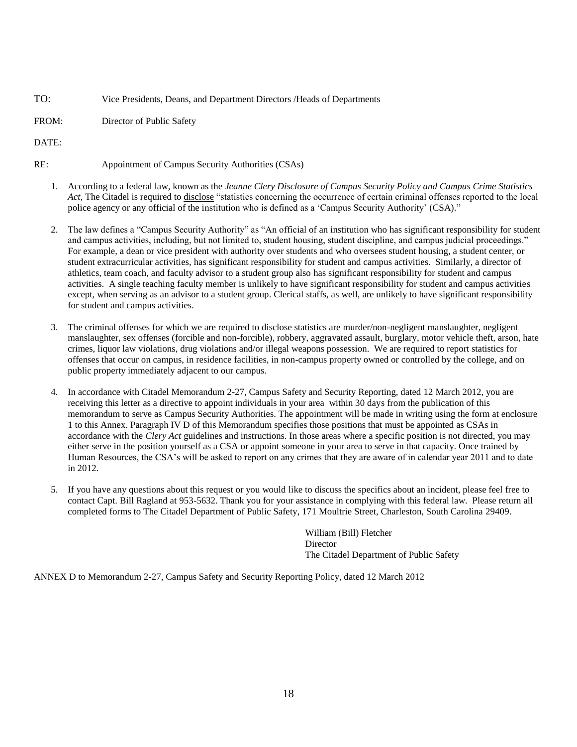TO: Vice Presidents, Deans, and Department Directors /Heads of Departments

FROM: Director of Public Safety

DATE:

#### RE: Appointment of Campus Security Authorities (CSAs)

- 1. According to a federal law, known as the *Jeanne Clery Disclosure of Campus Security Policy and Campus Crime Statistics Act*, The Citadel is required to disclose "statistics concerning the occurrence of certain criminal offenses reported to the local police agency or any official of the institution who is defined as a 'Campus Security Authority' (CSA)."
- 2. The law defines a "Campus Security Authority" as "An official of an institution who has significant responsibility for student and campus activities, including, but not limited to, student housing, student discipline, and campus judicial proceedings." For example, a dean or vice president with authority over students and who oversees student housing, a student center, or student extracurricular activities, has significant responsibility for student and campus activities. Similarly, a director of athletics, team coach, and faculty advisor to a student group also has significant responsibility for student and campus activities. A single teaching faculty member is unlikely to have significant responsibility for student and campus activities except, when serving as an advisor to a student group. Clerical staffs, as well, are unlikely to have significant responsibility for student and campus activities.
- 3. The criminal offenses for which we are required to disclose statistics are murder/non-negligent manslaughter, negligent manslaughter, sex offenses (forcible and non-forcible), robbery, aggravated assault, burglary, motor vehicle theft, arson, hate crimes, liquor law violations, drug violations and/or illegal weapons possession. We are required to report statistics for offenses that occur on campus, in residence facilities, in non-campus property owned or controlled by the college, and on public property immediately adjacent to our campus.
- 4. In accordance with Citadel Memorandum 2-27, Campus Safety and Security Reporting, dated 12 March 2012, you are receiving this letter as a directive to appoint individuals in your area within 30 days from the publication of this memorandum to serve as Campus Security Authorities. The appointment will be made in writing using the form at enclosure 1 to this Annex. Paragraph IV D of this Memorandum specifies those positions that must be appointed as CSAs in accordance with the *Clery Act* guidelines and instructions. In those areas where a specific position is not directed, you may either serve in the position yourself as a CSA or appoint someone in your area to serve in that capacity. Once trained by Human Resources, the CSA's will be asked to report on any crimes that they are aware of in calendar year 2011 and to date in 2012.
- 5. If you have any questions about this request or you would like to discuss the specifics about an incident, please feel free to contact Capt. Bill Ragland at 953-5632. Thank you for your assistance in complying with this federal law. Please return all completed forms to The Citadel Department of Public Safety, 171 Moultrie Street, Charleston, South Carolina 29409.

William (Bill) Fletcher Director The Citadel Department of Public Safety

ANNEX D to Memorandum 2-27, Campus Safety and Security Reporting Policy, dated 12 March 2012